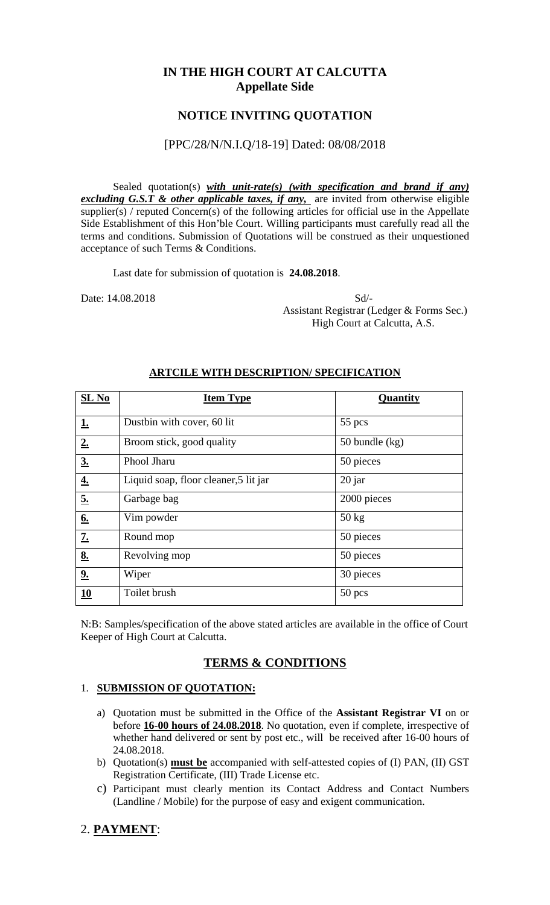## **IN THE HIGH COURT AT CALCUTTA Appellate Side**

## **NOTICE INVITING QUOTATION**

### [PPC/28/N/N.I.Q/18-19] Dated: 08/08/2018

Sealed quotation(s) *with unit-rate(s)* (with specification and brand if any) *excluding G.S.T & other applicable taxes, if any* are invited from otherwise eligible supplier(s) / reputed Concern(s) of the following articles for official use in the Appellate Side Establishment of this Hon'ble Court. Willing participants must carefully read all the terms and conditions. Submission of Quotations will be construed as their unquestioned acceptance of such Terms & Conditions.

Last date for submission of quotation is **24.08.2018**.

Date: 14.08.2018 Sd/- Assistant Registrar (Ledger & Forms Sec.) High Court at Calcutta, A.S.

| $SL$ No          | <b>Item Type</b>                      | Quantity         |
|------------------|---------------------------------------|------------------|
| <u>1.</u>        | Dustbin with cover, 60 lit            | 55 pcs           |
| $2_{\cdot}$      | Broom stick, good quality             | 50 bundle $(kg)$ |
| 3.               | Phool Jharu                           | 50 pieces        |
| $\underline{4.}$ | Liquid soap, floor cleaner, 5 lit jar | $20$ jar         |
| <u>5.</u>        | Garbage bag                           | 2000 pieces      |
| 6.               | Vim powder                            | $50 \text{ kg}$  |
| $\underline{7.}$ | Round mop                             | 50 pieces        |
| 8.               | Revolving mop                         | 50 pieces        |
| 9.               | Wiper                                 | 30 pieces        |
| 10               | Toilet brush                          | $50$ pcs         |

#### **ARTCILE WITH DESCRIPTION/ SPECIFICATION**

N:B: Samples/specification of the above stated articles are available in the office of Court Keeper of High Court at Calcutta.

# **TERMS & CONDITIONS**

#### 1. **SUBMISSION OF QUOTATION:**

- a) Quotation must be submitted in the Office of the **Assistant Registrar VI** on or before **16-00 hours of 24.08.2018**. No quotation, even if complete, irrespective of whether hand delivered or sent by post etc., will be received after 16-00 hours of 24.08.2018.
- b) Quotation(s) **must be** accompanied with self-attested copies of (I) PAN, (II) GST Registration Certificate, (III) Trade License etc.
- c) Participant must clearly mention its Contact Address and Contact Numbers (Landline / Mobile) for the purpose of easy and exigent communication.

# 2. **PAYMENT**: